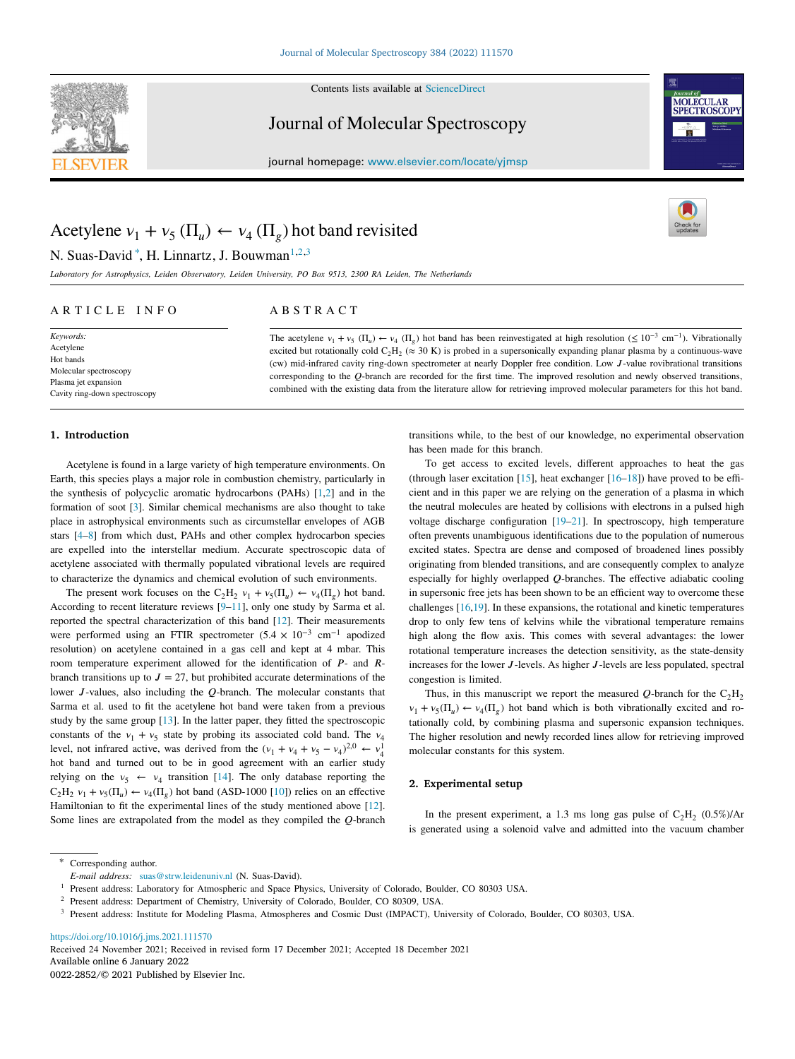

Contents lists available at [ScienceDirect](http://www.elsevier.com/locate/yjmsp)

Journal of Molecular Spectroscopy





# Acetylene  $v_1 + v_5 (\Pi_u) \leftarrow v_4 (\Pi_g)$  hot band revisited

N. Suas-David<sup>\*</sup>, H. Linnartz, J. Bouwman<sup>[1](#page-0-1),[2](#page-0-2),[3](#page-0-3)</sup>

*Laboratory for Astrophysics, Leiden Observatory, Leiden University, PO Box 9513, 2300 RA Leiden, The Netherlands*

## ARTICLE INFO

# A B S T R A C T

The acetylene  $v_1 + v_5$  ( $\Pi_u$ )  $\leftarrow v_4$  ( $\Pi_g$ ) hot band has been reinvestigated at high resolution ( $\leq 10^{-3}$  cm<sup>-1</sup>). Vibrationally excited but rotationally cold  $C_2H_2 \approx 30$  K) is probed in a supersonically expanding planar plasma by a continuous-wave (cw) mid-infrared cavity ring-down spectrometer at nearly Doppler free condition. Low J-value rovibrational transitions corresponding to the  $Q$ -branch are recorded for the first time. The improved resolution and newly observed transitions, combined with the existing data from the literature allow for retrieving improved molecular parameters for this hot band.

# **1. Introduction**

*Keywords:* Acetylene Hot bands Molecular spectroscopy Plasma jet expansion Cavity ring-down spectroscopy

Acetylene is found in a large variety of high temperature environments. On Earth, this species plays a major role in combustion chemistry, particularly in the synthesis of polycyclic aromatic hydrocarbons (PAHs) [\[1](#page-3-0)[,2](#page-3-1)] and in the formation of soot [[3\]](#page-3-2). Similar chemical mechanisms are also thought to take place in astrophysical environments such as circumstellar envelopes of AGB stars [\[4](#page-3-3)[–8](#page-3-4)] from which dust, PAHs and other complex hydrocarbon species are expelled into the interstellar medium. Accurate spectroscopic data of acetylene associated with thermally populated vibrational levels are required to characterize the dynamics and chemical evolution of such environments.

The present work focuses on the C<sub>2</sub>H<sub>2</sub>  $v_1 + v_5(\Pi_u) \leftarrow v_4(\Pi_g)$  hot band. According to recent literature reviews [\[9](#page-3-5)[–11](#page-3-6)], only one study by Sarma et al. reported the spectral characterization of this band [\[12](#page-3-7)]. Their measurements were performed using an FTIR spectrometer (5*.*4 × 10−3 cm−1 apodized resolution) on acetylene contained in a gas cell and kept at 4 mbar. This room temperature experiment allowed for the identification of  $P$ - and  $R$ branch transitions up to  $J = 27$ , but prohibited accurate determinations of the lower  $J$ -values, also including the  $Q$ -branch. The molecular constants that Sarma et al. used to fit the acetylene hot band were taken from a previous study by the same group [[13\]](#page-3-8). In the latter paper, they fitted the spectroscopic constants of the  $v_1 + v_5$  state by probing its associated cold band. The  $v_4$ level, not infrared active, was derived from the  $(v_1 + v_4 + v_5 - v_4)^{2,0} \leftarrow v_4^1$ hot band and turned out to be in good agreement with an earlier study relying on the  $v_5 \leftarrow v_4$  transition [[14\]](#page-3-9). The only database reporting the  $C_2H_2$   $v_1 + v_5(\Pi_u) \leftarrow v_4(\Pi_g)$  hot band (ASD-1000 [\[10](#page-3-10)]) relies on an effective Hamiltonian to fit the experimental lines of the study mentioned above [\[12](#page-3-7)]. Some lines are extrapolated from the model as they compiled the  $Q$ -branch transitions while, to the best of our knowledge, no experimental observation has been made for this branch.

To get access to excited levels, different approaches to heat the gas (through laser excitation [\[15\]](#page-3-11), heat exchanger [[16–](#page-3-12)[18\]](#page-4-0)) have proved to be efficient and in this paper we are relying on the generation of a plasma in which the neutral molecules are heated by collisions with electrons in a pulsed high voltage discharge configuration [\[19](#page-4-1)[–21](#page-4-2)]. In spectroscopy, high temperature often prevents unambiguous identifications due to the population of numerous excited states. Spectra are dense and composed of broadened lines possibly originating from blended transitions, and are consequently complex to analyze especially for highly overlapped  $Q$ -branches. The effective adiabatic cooling in supersonic free jets has been shown to be an efficient way to overcome these challenges [[16,](#page-3-12)[19\]](#page-4-1). In these expansions, the rotational and kinetic temperatures drop to only few tens of kelvins while the vibrational temperature remains high along the flow axis. This comes with several advantages: the lower rotational temperature increases the detection sensitivity, as the state-density increases for the lower  $J$ -levels. As higher  $J$ -levels are less populated, spectral congestion is limited.

Thus, in this manuscript we report the measured Q-branch for the  $C_2H_2$  $v_1 + v_5(\Pi_u) \leftarrow v_4(\Pi_g)$  hot band which is both vibrationally excited and rotationally cold, by combining plasma and supersonic expansion techniques. The higher resolution and newly recorded lines allow for retrieving improved molecular constants for this system.

## **2. Experimental setup**

In the present experiment, a 1.3 ms long gas pulse of  $C_2H_2$  (0.5%)/Ar is generated using a solenoid valve and admitted into the vacuum chamber

<span id="page-0-0"></span>Corresponding author.

<https://doi.org/10.1016/j.jms.2021.111570>

Available online 6 January 2022 0022-2852/© 2021 Published by Elsevier Inc. Received 24 November 2021; Received in revised form 17 December 2021; Accepted 18 December 2021

*E-mail address:* [suas@strw.leidenuniv.nl](mailto:suas@strw.leidenuniv.nl) (N. Suas-David).

<span id="page-0-1"></span><sup>&</sup>lt;sup>1</sup> Present address: Laboratory for Atmospheric and Space Physics, University of Colorado, Boulder, CO 80303 USA.

<span id="page-0-2"></span><sup>2</sup> Present address: Department of Chemistry, University of Colorado, Boulder, CO 80309, USA.

<span id="page-0-3"></span><sup>3</sup> Present address: Institute for Modeling Plasma, Atmospheres and Cosmic Dust (IMPACT), University of Colorado, Boulder, CO 80303, USA.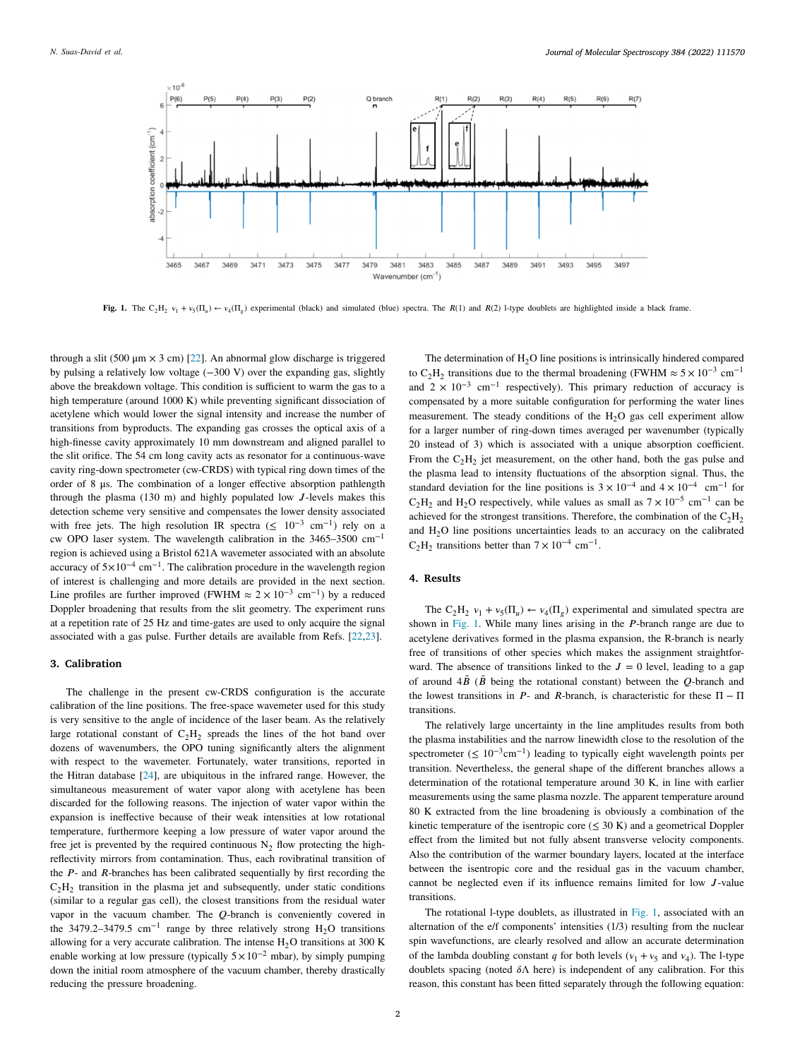

<span id="page-1-0"></span>**Fig. 1.** The C<sub>2</sub>H<sub>2</sub>  $v_1 + v_5(\Pi_a) \leftarrow v_4(\Pi_g)$  experimental (black) and simulated (blue) spectra. The R(1) and R(2) 1-type doublets are highlighted inside a black frame.

through a slit (500 μm  $\times$  3 cm) [[22\]](#page-4-3). An abnormal glow discharge is triggered by pulsing a relatively low voltage (−300 V) over the expanding gas, slightly above the breakdown voltage. This condition is sufficient to warm the gas to a high temperature (around 1000 K) while preventing significant dissociation of acetylene which would lower the signal intensity and increase the number of transitions from byproducts. The expanding gas crosses the optical axis of a high-finesse cavity approximately 10 mm downstream and aligned parallel to the slit orifice. The 54 cm long cavity acts as resonator for a continuous-wave cavity ring-down spectrometer (cw-CRDS) with typical ring down times of the order of 8 μs. The combination of a longer effective absorption pathlength through the plasma (130 m) and highly populated low  $J$ -levels makes this detection scheme very sensitive and compensates the lower density associated with free jets. The high resolution IR spectra ( $\leq 10^{-3}$  cm<sup>-1</sup>) rely on a cw OPO laser system. The wavelength calibration in the 3465–3500 cm−1 region is achieved using a Bristol 621A wavemeter associated with an absolute accuracy of  $5\times10^{-4}$  cm<sup>-1</sup>. The calibration procedure in the wavelength region of interest is challenging and more details are provided in the next section. Line profiles are further improved (FWHM  $\approx 2 \times 10^{-3}$  cm<sup>-1</sup>) by a reduced Doppler broadening that results from the slit geometry. The experiment runs at a repetition rate of 25 Hz and time-gates are used to only acquire the signal associated with a gas pulse. Further details are available from Refs. [[22,](#page-4-3)[23\]](#page-4-4).

# **3. Calibration**

The challenge in the present cw-CRDS configuration is the accurate calibration of the line positions. The free-space wavemeter used for this study is very sensitive to the angle of incidence of the laser beam. As the relatively large rotational constant of  $C_2H_2$  spreads the lines of the hot band over dozens of wavenumbers, the OPO tuning significantly alters the alignment with respect to the wavemeter. Fortunately, water transitions, reported in the Hitran database [\[24](#page-4-5)], are ubiquitous in the infrared range. However, the simultaneous measurement of water vapor along with acetylene has been discarded for the following reasons. The injection of water vapor within the expansion is ineffective because of their weak intensities at low rotational temperature, furthermore keeping a low pressure of water vapor around the free jet is prevented by the required continuous  $N_2$  flow protecting the highreflectivity mirrors from contamination. Thus, each rovibratinal transition of the  $P$ - and  $R$ -branches has been calibrated sequentially by first recording the  $C_2H_2$  transition in the plasma jet and subsequently, under static conditions (similar to a regular gas cell), the closest transitions from the residual water vapor in the vacuum chamber. The  $Q$ -branch is conveniently covered in the 3479.2–3479.5 cm<sup>-1</sup> range by three relatively strong H<sub>2</sub>O transitions allowing for a very accurate calibration. The intense  $H_2O$  transitions at 300 K enable working at low pressure (typically  $5 \times 10^{-2}$  mbar), by simply pumping down the initial room atmosphere of the vacuum chamber, thereby drastically reducing the pressure broadening.

The determination of  $H_2O$  line positions is intrinsically hindered compared to C<sub>2</sub>H<sub>2</sub> transitions due to the thermal broadening (FWHM  $\approx$  5 × 10<sup>-3</sup> cm<sup>-1</sup> and  $2 \times 10^{-3}$  cm<sup>-1</sup> respectively). This primary reduction of accuracy is compensated by a more suitable configuration for performing the water lines measurement. The steady conditions of the  $H<sub>2</sub>O$  gas cell experiment allow for a larger number of ring-down times averaged per wavenumber (typically 20 instead of 3) which is associated with a unique absorption coefficient. From the  $C_2H_2$  jet measurement, on the other hand, both the gas pulse and the plasma lead to intensity fluctuations of the absorption signal. Thus, the standard deviation for the line positions is  $3 \times 10^{-4}$  and  $4 \times 10^{-4}$  cm<sup>-1</sup> for  $C_2H_2$  and H<sub>2</sub>O respectively, while values as small as  $7 \times 10^{-5}$  cm<sup>-1</sup> can be achieved for the strongest transitions. Therefore, the combination of the  $C_2H_2$ and  $H<sub>2</sub>O$  line positions uncertainties leads to an accuracy on the calibrated  $C_2H_2$  transitions better than  $7 \times 10^{-4}$  cm<sup>-1</sup>.

# **4. Results**

The C<sub>2</sub>H<sub>2</sub>  $v_1 + v_5(\Pi_u) \leftarrow v_4(\Pi_g)$  experimental and simulated spectra are shown in [Fig.](#page-1-0) [1.](#page-1-0) While many lines arising in the  $P$ -branch range are due to acetylene derivatives formed in the plasma expansion, the R-branch is nearly free of transitions of other species which makes the assignment straightforward. The absence of transitions linked to the  $J = 0$  level, leading to a gap of around  $4\tilde{B}$  ( $\tilde{B}$  being the rotational constant) between the *Q*-branch and the lowest transitions in  $P$ - and  $R$ -branch, is characteristic for these  $\Pi - \Pi$ transitions.

The relatively large uncertainty in the line amplitudes results from both the plasma instabilities and the narrow linewidth close to the resolution of the spectrometer ( $\leq 10^{-3}$ cm<sup>-1</sup>) leading to typically eight wavelength points per transition. Nevertheless, the general shape of the different branches allows a determination of the rotational temperature around 30 K, in line with earlier measurements using the same plasma nozzle. The apparent temperature around 80 K extracted from the line broadening is obviously a combination of the kinetic temperature of the isentropic core  $(\leq 30 \text{ K})$  and a geometrical Doppler effect from the limited but not fully absent transverse velocity components. Also the contribution of the warmer boundary layers, located at the interface between the isentropic core and the residual gas in the vacuum chamber, cannot be neglected even if its influence remains limited for low  $J$ -value transitions.

The rotational l-type doublets, as illustrated in [Fig.](#page-1-0) [1,](#page-1-0) associated with an alternation of the e/f components' intensities (1/3) resulting from the nuclear spin wavefunctions, are clearly resolved and allow an accurate determination of the lambda doubling constant q for both levels ( $v_1 + v_5$  and  $v_4$ ). The l-type doublets spacing (noted  $\delta \Lambda$  here) is independent of any calibration. For this reason, this constant has been fitted separately through the following equation: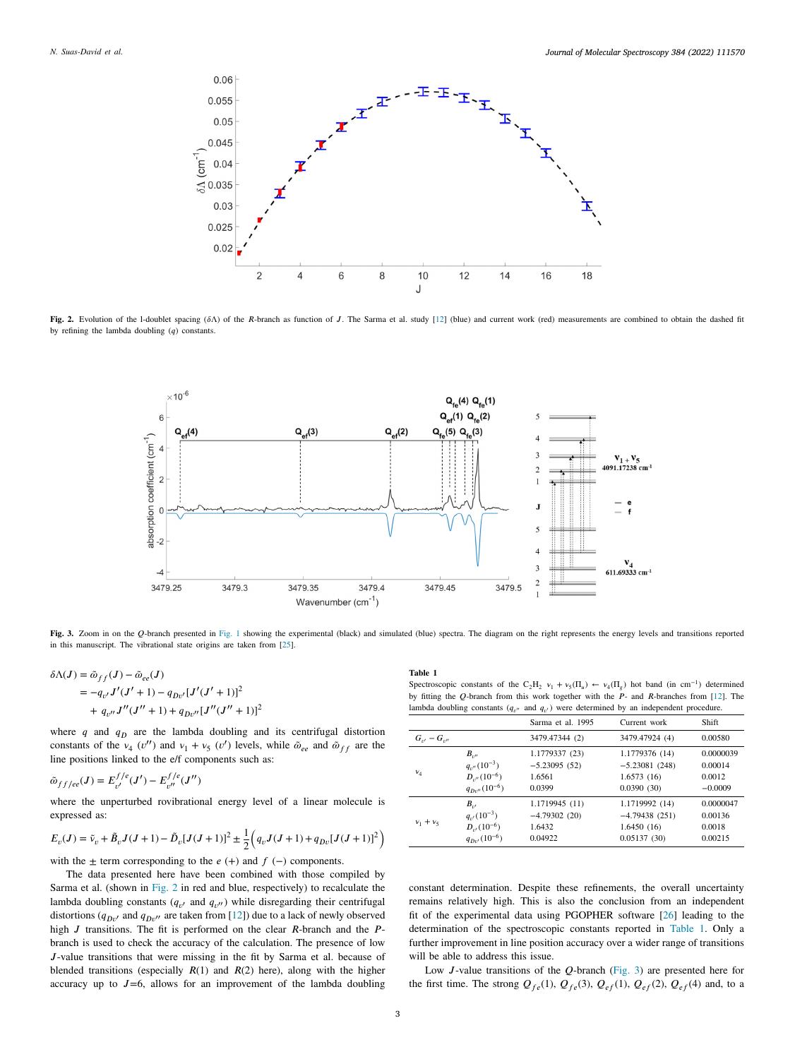

<span id="page-2-0"></span>Fig. 2. Evolution of the l-doublet spacing  $(\delta \Lambda)$  of the R-branch as function of J. The Sarma et al. study [\[12\]](#page-3-7) (blue) and current work (red) measurements are combined to obtain the dashed fit by refining the lambda doubling  $(q)$  constants.



<span id="page-2-2"></span>[Fig.](#page-1-0) 3. Zoom in on the Q-branch presented in Fig. [1](#page-1-0) showing the experimental (black) and simulated (blue) spectra. The diagram on the right represents the energy levels and transitions reported in this manuscript. The vibrational state origins are taken from [[25\]](#page-4-6).

$$
\delta \Lambda(J) = \tilde{\omega}_{ff}(J) - \tilde{\omega}_{ee}(J)
$$
  
=  $-q_{v'}J'(J' + 1) - q_{Dv'}[J'(J' + 1)]^2$   
+  $q_{v''}J''(J'' + 1) + q_{Dv''}[J''(J'' + 1)]^2$ 

where  $q$  and  $q_D$  are the lambda doubling and its centrifugal distortion constants of the  $v_4$  ( $v''$ ) and  $v_1 + v_5$  ( $v'$ ) levels, while  $\tilde{\omega}_{ee}$  and  $\tilde{\omega}_{ff}$  are the line positions linked to the e/f components such as:

$$
\tilde{\omega}_{ff/ee}(J) = E_{v'}^{f/e}(J') - E_{v''}^{f/e}(J'')
$$

where the unperturbed rovibrational energy level of a linear molecule is expressed as:

$$
E_{\nu}(J) = \tilde{\nu}_{\nu} + \tilde{B}_{\nu}J(J+1) - \tilde{D}_{\nu}[J(J+1)]^2 \pm \frac{1}{2} \left( q_{\nu}J(J+1) + q_{D\nu}[J(J+1)]^2 \right)
$$

with the  $\pm$  term corresponding to the  $e (+)$  and  $f (-)$  components.

The data presented here have been combined with those compiled by Sarma et al. (shown in [Fig.](#page-2-0) [2](#page-2-0) in red and blue, respectively) to recalculate the lambda doubling constants  $(q_{v'}$  and  $q_{v''})$  while disregarding their centrifugal distortions ( $q_{Dv'}$  and  $q_{Dv''}$  are taken from [[12\]](#page-3-7)) due to a lack of newly observed high  $J$  transitions. The fit is performed on the clear  $R$ -branch and the  $P$ branch is used to check the accuracy of the calculation. The presence of low J-value transitions that were missing in the fit by Sarma et al. because of blended transitions (especially  $R(1)$  and  $R(2)$  here), along with the higher accuracy up to  $J=6$ , allows for an improvement of the lambda doubling

## **Table 1**

Spectroscopic constants of the C<sub>2</sub>H<sub>2</sub>  $v_1 + v_5(\Pi_u) \leftarrow v_4(\Pi_g)$  hot band (in cm<sup>-1</sup>) determined by fitting the Q-branch from this work together with the  $P$ - and R-branches from [[12](#page-3-7)]. The lambda doubling constants  $(q_{v''}$  and  $q_{v'}$ ) were determined by an independent procedure.

<span id="page-2-1"></span>

|                    |                             | Sarma et al. 1995 | Current work    | <b>Shift</b> |
|--------------------|-----------------------------|-------------------|-----------------|--------------|
| $G_{n'} - G_{n''}$ |                             | 3479.47344 (2)    | 3479.47924 (4)  | 0.00580      |
| $v_4$              | $B_{\nu\prime}$             | 1.1779337 (23)    | 1.1779376 (14)  | 0.0000039    |
|                    | $q_{\nu''}(10^{-3})$        | $-5.23095(52)$    | $-5.23081(248)$ | 0.00014      |
|                    | $D_{\nu''}(10^{-6})$        | 1.6561            | 1.6573(16)      | 0.0012       |
|                    | $q_{Dv''}(10^{-6})$         | 0.0399            | 0.0390(30)      | $-0.0009$    |
| $v_1 + v_5$        | $B_{\cdot \cdot}$           | 1.1719945 (11)    | 1.1719992 (14)  | 0.0000047    |
|                    | $q_{\nu}(10^{-3})$          | $-4.79302(20)$    | $-4.79438(251)$ | 0.00136      |
|                    | $D_{\nu}(10^{-6})$          | 1.6432            | 1.6450(16)      | 0.0018       |
|                    | $q_{D}$ (10 <sup>-6</sup> ) | 0.04922           | 0.05137(30)     | 0.00215      |

constant determination. Despite these refinements, the overall uncertainty remains relatively high. This is also the conclusion from an independent fit of the experimental data using PGOPHER software [[26\]](#page-4-7) leading to the determination of the spectroscopic constants reported in [Table](#page-2-1) [1](#page-2-1). Only a further improvement in line position accuracy over a wider range of transitions will be able to address this issue.

Low  $J$ -value transitions of the  $Q$ -branch ([Fig.](#page-2-2) [3](#page-2-2)) are presented here for the first time. The strong  $Q_{fe}(1)$ ,  $Q_{fe}(3)$ ,  $Q_{ef}(1)$ ,  $Q_{ef}(2)$ ,  $Q_{ef}(4)$  and, to a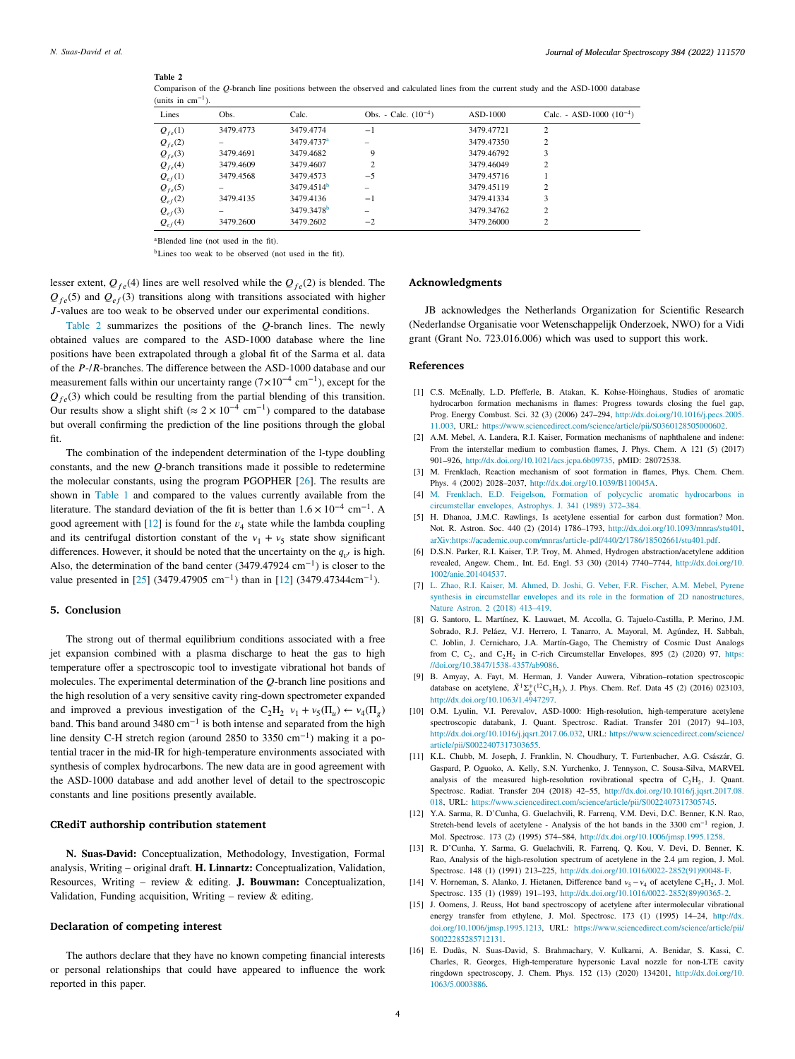#### *Journal of Molecular Spectroscopy 384 (2022) 111570*

# **Table 2**

| Lines       | Obs.      | Calc.                  | Obs. - Calc. $(10^{-4})$ | $ASD-1000$ | Calc. - ASD-1000 $(10^{-4})$ |
|-------------|-----------|------------------------|--------------------------|------------|------------------------------|
| $Q_{fe}(1)$ | 3479,4773 | 3479.4774              | $-1$                     | 3479.47721 | $\overline{c}$               |
| $Q_{fe}(2)$ |           | 3479.4737 <sup>a</sup> |                          | 3479.47350 | $\overline{c}$               |
| $Q_{fe}(3)$ | 3479.4691 | 3479.4682              | 9                        | 3479.46792 | 3                            |
| $Q_{fe}(4)$ | 3479.4609 | 3479.4607              | 2                        | 3479.46049 | $\overline{c}$               |
| $Q_{ef}(1)$ | 3479.4568 | 3479.4573              | $-5$                     | 3479.45716 |                              |
| $Q_{fe}(5)$ |           | 3479.4514 <sup>b</sup> |                          | 3479.45119 | 2                            |
| $Q_{ef}(2)$ | 3479.4135 | 3479.4136              | $-1$                     | 3479.41334 | 3                            |
| $Q_{ef}(3)$ |           | 3479.3478 <sup>b</sup> | -                        | 3479.34762 | $\overline{c}$               |
| $Q_{ef}(4)$ | 3479.2600 | 3479.2602              | $-2$                     | 3479.26000 | $\overline{c}$               |

<span id="page-3-15"></span>Comparison of the *O*-branch line positions between the observed and calculated lines from the current study and the ASD-1000 database (units in cm−1).

<span id="page-3-13"></span><sup>a</sup>Blended line (not used in the fit).

<span id="page-3-14"></span><sup>b</sup>Lines too weak to be observed (not used in the fit).

lesser extent,  $Q_{fe}(4)$  lines are well resolved while the  $Q_{fe}(2)$  is blended. The  $Q_{fe}(5)$  and  $Q_{ef}(3)$  transitions along with transitions associated with higher -values are too weak to be observed under our experimental conditions.

[Table](#page-3-15) [2](#page-3-15) summarizes the positions of the  $O$ -branch lines. The newly obtained values are compared to the ASD-1000 database where the line positions have been extrapolated through a global fit of the Sarma et al. data of the  $P$ -/ $R$ -branches. The difference between the ASD-1000 database and our measurement falls within our uncertainty range  $(7 \times 10^{-4} \text{ cm}^{-1})$ , except for the  $Q_{fo}(3)$  which could be resulting from the partial blending of this transition. Our results show a slight shift ( $\approx 2 \times 10^{-4}$  cm<sup>-1</sup>) compared to the database but overall confirming the prediction of the line positions through the global fit.

The combination of the independent determination of the l-type doubling constants, and the new  $Q$ -branch transitions made it possible to redetermine the molecular constants, using the program PGOPHER [\[26](#page-4-7)]. The results are shown in [Table](#page-2-1) [1](#page-2-1) and compared to the values currently available from the literature. The standard deviation of the fit is better than 1*.*6 × 10−4 cm−1. A good agreement with  $[12]$  $[12]$  is found for the  $v_4$  state while the lambda coupling and its centrifugal distortion constant of the  $v_1 + v_5$  state show significant differences. However, it should be noted that the uncertainty on the  $q_{v'}$  is high. Also, the determination of the band center (3479.47924 cm−1) is closer to the value presented in [\[25](#page-4-6)] (3479.47905 cm−1) than in [\[12](#page-3-7)] (3479*.*47344cm−1).

# **5. Conclusion**

The strong out of thermal equilibrium conditions associated with a free jet expansion combined with a plasma discharge to heat the gas to high temperature offer a spectroscopic tool to investigate vibrational hot bands of molecules. The experimental determination of the  $O$ -branch line positions and the high resolution of a very sensitive cavity ring-down spectrometer expanded and improved a previous investigation of the C<sub>2</sub>H<sub>2</sub>  $v_1 + v_5(\Pi_u) \leftarrow v_4(\Pi_g)$ band. This band around 3480 cm<sup>-1</sup> is both intense and separated from the high line density C-H stretch region (around 2850 to 3350 cm<sup>-1</sup>) making it a potential tracer in the mid-IR for high-temperature environments associated with synthesis of complex hydrocarbons. The new data are in good agreement with the ASD-1000 database and add another level of detail to the spectroscopic constants and line positions presently available.

# **CRediT authorship contribution statement**

**N. Suas-David:** Conceptualization, Methodology, Investigation, Formal analysis, Writing – original draft. **H. Linnartz:** Conceptualization, Validation, Resources, Writing – review & editing. **J. Bouwman:** Conceptualization, Validation, Funding acquisition, Writing – review  $\&$  editing.

## **Declaration of competing interest**

The authors declare that they have no known competing financial interests or personal relationships that could have appeared to influence the work reported in this paper.

# **Acknowledgments**

JB acknowledges the Netherlands Organization for Scientific Research (Nederlandse Organisatie voor Wetenschappelijk Onderzoek, NWO) for a Vidi grant (Grant No. 723.016.006) which was used to support this work.

# **References**

- <span id="page-3-0"></span>[1] C.S. McEnally, L.D. Pfefferle, B. Atakan, K. Kohse-Höinghaus, Studies of aromatic hydrocarbon formation mechanisms in flames: Progress towards closing the fuel gap, Prog. Energy Combust. Sci. 32 (3) (2006) 247–294, [http://dx.doi.org/10.1016/j.pecs.2005.](http://dx.doi.org/10.1016/j.pecs.2005.11.003) [11.003](http://dx.doi.org/10.1016/j.pecs.2005.11.003), URL: <https://www.sciencedirect.com/science/article/pii/S0360128505000602>.
- <span id="page-3-1"></span>[2] A.M. Mebel, A. Landera, R.I. Kaiser, Formation mechanisms of naphthalene and indene: From the interstellar medium to combustion flames, J. Phys. Chem. A 121 (5) (2017) 901–926, <http://dx.doi.org/10.1021/acs.jcpa.6b09735>, pMID: 28072538.
- <span id="page-3-2"></span>[3] M. Frenklach, Reaction mechanism of soot formation in flames, Phys. Chem. Chem. Phys. 4 (2002) 2028–2037, <http://dx.doi.org/10.1039/B110045A>.
- <span id="page-3-3"></span>[4] [M. Frenklach, E.D. Feigelson, Formation of polycyclic aromatic hydrocarbons in](http://refhub.elsevier.com/S0022-2852(21)00144-2/sb4) [circumstellar envelopes, Astrophys. J. 341 \(1989\) 372–384.](http://refhub.elsevier.com/S0022-2852(21)00144-2/sb4)
- [5] H. Dhanoa, J.M.C. Rawlings, Is acetylene essential for carbon dust formation? Mon. Not. R. Astron. Soc. 440 (2) (2014) 1786–1793, <http://dx.doi.org/10.1093/mnras/stu401>, [arXiv:https://academic.oup.com/mnras/article-pdf/440/2/1786/18502661/stu401.pdf](http://arxiv.org/abs/https://academic.oup.com/mnras/article-pdf/440/2/1786/18502661/stu401.pdf).
- [6] D.S.N. Parker, R.I. Kaiser, T.P. Troy, M. Ahmed, Hydrogen abstraction/acetylene addition revealed, Angew. Chem., Int. Ed. Engl. 53 (30) (2014) 7740–7744, [http://dx.doi.org/10.](http://dx.doi.org/10.1002/anie.201404537) [1002/anie.201404537.](http://dx.doi.org/10.1002/anie.201404537)
- [7] [L. Zhao, R.I. Kaiser, M. Ahmed, D. Joshi, G. Veber, F.R. Fischer, A.M. Mebel, Pyrene](http://refhub.elsevier.com/S0022-2852(21)00144-2/sb7) [synthesis in circumstellar envelopes and its role in the formation of 2D nanostructures,](http://refhub.elsevier.com/S0022-2852(21)00144-2/sb7) [Nature Astron. 2 \(2018\) 413–419.](http://refhub.elsevier.com/S0022-2852(21)00144-2/sb7)
- <span id="page-3-4"></span>[8] G. Santoro, L. Martínez, K. Lauwaet, M. Accolla, G. Tajuelo-Castilla, P. Merino, J.M. Sobrado, R.J. Peláez, V.J. Herrero, I. Tanarro, A. Mayoral, M. Agúndez, H. Sabbah, C. Joblin, J. Cernicharo, J.A. Martín-Gago, The Chemistry of Cosmic Dust Analogs from C,  $C_2$ , and  $C_2H_2$  in C-rich Circumstellar Envelopes, 895 (2) (2020) 97, [https:](https://doi.org/10.3847/1538-4357/ab9086) [//doi.org/10.3847/1538-4357/ab9086](https://doi.org/10.3847/1538-4357/ab9086).
- <span id="page-3-5"></span>[9] B. Amyay, A. Fayt, M. Herman, J. Vander Auwera, Vibration–rotation spectroscopic database on acetylene,  $\tilde{X}^1 \Sigma_g^+({}^{12}C_2H_2)$ , J. Phys. Chem. Ref. Data 45 (2) (2016) 023103, <http://dx.doi.org/10.1063/1.4947297>.
- <span id="page-3-10"></span>[10] O.M. Lyulin, V.I. Perevalov, ASD-1000: High-resolution, high-temperature acetylene spectroscopic databank, J. Quant. Spectrosc. Radiat. Transfer 201 (2017) 94–103, [http://dx.doi.org/10.1016/j.jqsrt.2017.06.032,](http://dx.doi.org/10.1016/j.jqsrt.2017.06.032) URL: [https://www.sciencedirect.com/science/](https://www.sciencedirect.com/science/article/pii/S0022407317303655) [article/pii/S0022407317303655](https://www.sciencedirect.com/science/article/pii/S0022407317303655).
- <span id="page-3-6"></span>[11] K.L. Chubb, M. Joseph, J. Franklin, N. Choudhury, T. Furtenbacher, A.G. Császár, G. Gaspard, P. Oguoko, A. Kelly, S.N. Yurchenko, J. Tennyson, C. Sousa-Silva, MARVEL analysis of the measured high-resolution rovibrational spectra of  $C_2H_2$ , J. Quant. Spectrosc. Radiat. Transfer 204 (2018) 42–55, [http://dx.doi.org/10.1016/j.jqsrt.2017.08.](http://dx.doi.org/10.1016/j.jqsrt.2017.08.018) [018](http://dx.doi.org/10.1016/j.jqsrt.2017.08.018), URL: [https://www.sciencedirect.com/science/article/pii/S0022407317305745.](https://www.sciencedirect.com/science/article/pii/S0022407317305745)
- <span id="page-3-7"></span>[12] Y.A. Sarma, R. D'Cunha, G. Guelachvili, R. Farrenq, V.M. Devi, D.C. Benner, K.N. Rao, Stretch-bend levels of acetylene - Analysis of the hot bands in the 3300 cm−1 region, J. Mol. Spectrosc. 173 (2) (1995) 574–584, [http://dx.doi.org/10.1006/jmsp.1995.1258.](http://dx.doi.org/10.1006/jmsp.1995.1258)
- <span id="page-3-8"></span>[13] R. D'Cunha, Y. Sarma, G. Guelachvili, R. Farrenq, Q. Kou, V. Devi, D. Benner, K. Rao, Analysis of the high-resolution spectrum of acetylene in the 2.4 μm region, J. Mol. Spectrosc. 148 (1) (1991) 213–225, [http://dx.doi.org/10.1016/0022-2852\(91\)90048-F.](http://dx.doi.org/10.1016/0022-2852(91)90048-F)
- <span id="page-3-9"></span>[14] V. Horneman, S. Alanko, J. Hietanen, Difference band  $v_5 - v_4$  of acetylene C<sub>2</sub>H<sub>2</sub>, J. Mol. Spectrosc. 135 (1) (1989) 191–193, [http://dx.doi.org/10.1016/0022-2852\(89\)90365-2](http://dx.doi.org/10.1016/0022-2852(89)90365-2).
- <span id="page-3-11"></span>[15] J. Oomens, J. Reuss, Hot band spectroscopy of acetylene after intermolecular vibrational energy transfer from ethylene, J. Mol. Spectrosc. 173 (1) (1995) 14–24, [http://dx.](http://dx.doi.org/10.1006/jmsp.1995.1213) [doi.org/10.1006/jmsp.1995.1213](http://dx.doi.org/10.1006/jmsp.1995.1213), URL: [https://www.sciencedirect.com/science/article/pii/](https://www.sciencedirect.com/science/article/pii/S0022285285712131) [S0022285285712131](https://www.sciencedirect.com/science/article/pii/S0022285285712131).
- <span id="page-3-12"></span>[16] E. Dudàs, N. Suas-David, S. Brahmachary, V. Kulkarni, A. Benidar, S. Kassi, C. Charles, R. Georges, High-temperature hypersonic Laval nozzle for non-LTE cavity ringdown spectroscopy, J. Chem. Phys. 152 (13) (2020) 134201, [http://dx.doi.org/10.](http://dx.doi.org/10.1063/5.0003886) [1063/5.0003886](http://dx.doi.org/10.1063/5.0003886).